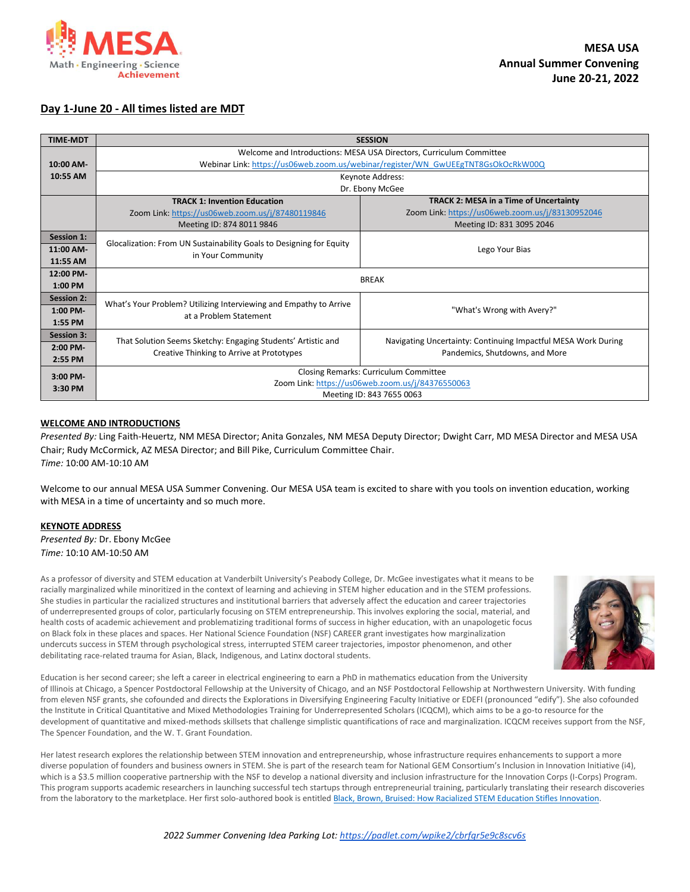

# **Day 1-June 20 - All times listed are MDT**

| <b>TIME-MDT</b>   |                                                                                                                        | <b>SESSION</b>                                                |
|-------------------|------------------------------------------------------------------------------------------------------------------------|---------------------------------------------------------------|
|                   | Welcome and Introductions: MESA USA Directors, Curriculum Committee                                                    |                                                               |
| 10:00 AM-         | Webinar Link: https://us06web.zoom.us/webinar/register/WN GwUEEgTNT8GsOkOcRkW00Q                                       |                                                               |
| 10:55 AM          | Keynote Address:                                                                                                       |                                                               |
|                   | Dr. Ebony McGee                                                                                                        |                                                               |
|                   | <b>TRACK 1: Invention Education</b>                                                                                    | <b>TRACK 2: MESA in a Time of Uncertainty</b>                 |
|                   | Zoom Link: https://us06web.zoom.us/j/87480119846                                                                       | Zoom Link: https://us06web.zoom.us/j/83130952046              |
|                   | Meeting ID: 874 8011 9846                                                                                              | Meeting ID: 831 3095 2046                                     |
| <b>Session 1:</b> | Glocalization: From UN Sustainability Goals to Designing for Equity                                                    |                                                               |
| 11:00 AM-         | in Your Community                                                                                                      | Lego Your Bias                                                |
| 11:55 AM          |                                                                                                                        |                                                               |
| 12:00 PM-         | <b>BREAK</b>                                                                                                           |                                                               |
| 1:00 PM           |                                                                                                                        |                                                               |
| <b>Session 2:</b> | What's Your Problem? Utilizing Interviewing and Empathy to Arrive                                                      |                                                               |
| $1:00$ PM-        | at a Problem Statement                                                                                                 | "What's Wrong with Avery?"                                    |
| 1:55 PM           |                                                                                                                        |                                                               |
| <b>Session 3:</b> |                                                                                                                        | Navigating Uncertainty: Continuing Impactful MESA Work During |
| $2:00$ PM-        | That Solution Seems Sketchy: Engaging Students' Artistic and<br>Creative Thinking to Arrive at Prototypes              | Pandemics, Shutdowns, and More                                |
| 2:55 PM           |                                                                                                                        |                                                               |
| $3:00$ PM-        | Closing Remarks: Curriculum Committee<br>Zoom Link: https://us06web.zoom.us/j/84376550063<br>Meeting ID: 843 7655 0063 |                                                               |
| 3:30 PM           |                                                                                                                        |                                                               |
|                   |                                                                                                                        |                                                               |

# **WELCOME AND INTRODUCTIONS**

*Presented By:* Ling Faith-Heuertz, NM MESA Director; Anita Gonzales, NM MESA Deputy Director; Dwight Carr, MD MESA Director and MESA USA Chair; Rudy McCormick, AZ MESA Director; and Bill Pike, Curriculum Committee Chair. *Time:* 10:00 AM-10:10 AM

Welcome to our annual MESA USA Summer Convening. Our MESA USA team is excited to share with you tools on invention education, working with MESA in a time of uncertainty and so much more.

## **KEYNOTE ADDRESS**

*Presented By:* Dr. Ebony McGee *Time:* 10:10 AM-10:50 AM

As a professor of diversity and STEM education at Vanderbilt University's Peabody College, Dr. McGee investigates what it means to be racially marginalized while minoritized in the context of learning and achieving in STEM higher education and in the STEM professions. She studies in particular the racialized structures and institutional barriers that adversely affect the education and career trajectories of underrepresented groups of color, particularly focusing on STEM entrepreneurship. This involves exploring the social, material, and health costs of academic achievement and problematizing traditional forms of success in higher education, with an unapologetic focus on Black folx in these places and spaces. Her National Science Foundation (NSF) CAREER grant investigates how marginalization undercuts success in STEM through psychological stress, interrupted STEM career trajectories, impostor phenomenon, and other debilitating race-related trauma for Asian, Black, Indigenous, and Latinx doctoral students.



Education is her second career; she left a career in electrical engineering to earn a PhD in mathematics education from the University of Illinois at Chicago, a Spencer Postdoctoral Fellowship at the University of Chicago, and an NSF Postdoctoral Fellowship at Northwestern University. With funding from eleven NSF grants, she cofounded and directs the Explorations in Diversifying Engineering Faculty Initiative or EDEFI (pronounced "edify"). She also cofounded the Institute in Critical Quantitative and Mixed Methodologies Training for Underrepresented Scholars (ICQCM), which aims to be a go-to resource for the development of quantitative and mixed-methods skillsets that challenge simplistic quantifications of race and marginalization. ICQCM receives support from the NSF, The Spencer Foundation, and the W. T. Grant Foundation.

Her latest research explores the relationship between STEM innovation and entrepreneurship, whose infrastructure requires enhancements to support a more diverse population of founders and business owners in STEM. She is part of the research team for National GEM Consortium's Inclusion in Innovation Initiative (i4), which is a \$3.5 million cooperative partnership with the NSF to develop a national diversity and inclusion infrastructure for the Innovation Corps (I-Corps) Program. This program supports academic researchers in launching successful tech startups through entrepreneurial training, particularly translating their research discoveries from the laboratory to the marketplace. Her first solo-authored book is entitled [Black, Brown, Bruised: How Racialized STEM Education Stifles Innovation.](https://www.hepg.org/hep-home/books/black,-brown,-bruised)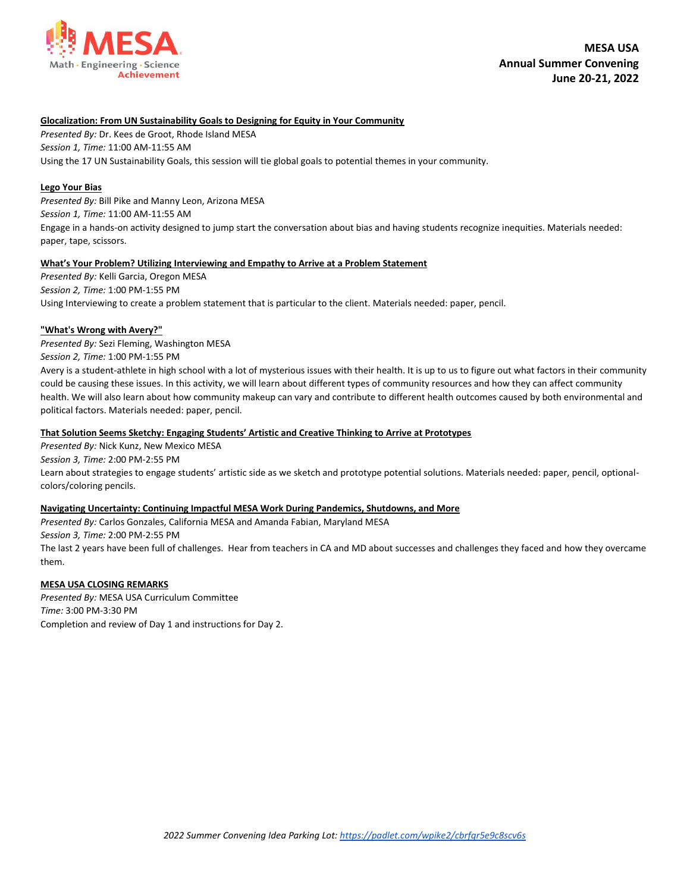

## **Glocalization: From UN Sustainability Goals to Designing for Equity in Your Community**

*Presented By:* Dr. Kees de Groot, Rhode Island MESA *Session 1, Time:* 11:00 AM-11:55 AM Using the 17 UN Sustainability Goals, this session will tie global goals to potential themes in your community.

# **Lego Your Bias**

*Presented By:* Bill Pike and Manny Leon, Arizona MESA *Session 1, Time:* 11:00 AM-11:55 AM Engage in a hands-on activity designed to jump start the conversation about bias and having students recognize inequities. Materials needed: paper, tape, scissors.

## **What's Your Problem? Utilizing Interviewing and Empathy to Arrive at a Problem Statement**

*Presented By:* Kelli Garcia, Oregon MESA *Session 2, Time:* 1:00 PM-1:55 PM Using Interviewing to create a problem statement that is particular to the client. Materials needed: paper, pencil.

## **"What's Wrong with Avery?"**

*Presented By:* Sezi Fleming, Washington MESA

*Session 2, Time:* 1:00 PM-1:55 PM

Avery is a student-athlete in high school with a lot of mysterious issues with their health. It is up to us to figure out what factors in their community could be causing these issues. In this activity, we will learn about different types of community resources and how they can affect community health. We will also learn about how community makeup can vary and contribute to different health outcomes caused by both environmental and political factors. Materials needed: paper, pencil.

## **That Solution Seems Sketchy: Engaging Students' Artistic and Creative Thinking to Arrive at Prototypes**

*Presented By:* Nick Kunz, New Mexico MESA

*Session 3, Time:* 2:00 PM-2:55 PM

Learn about strategies to engage students' artistic side as we sketch and prototype potential solutions. Materials needed: paper, pencil, optionalcolors/coloring pencils.

## **Navigating Uncertainty: Continuing Impactful MESA Work During Pandemics, Shutdowns, and More**

*Presented By:* Carlos Gonzales, California MESA and Amanda Fabian, Maryland MESA

*Session 3, Time:* 2:00 PM-2:55 PM

The last 2 years have been full of challenges. Hear from teachers in CA and MD about successes and challenges they faced and how they overcame them.

## **MESA USA CLOSING REMARKS**

*Presented By:* MESA USA Curriculum Committee *Time:* 3:00 PM-3:30 PM Completion and review of Day 1 and instructions for Day 2.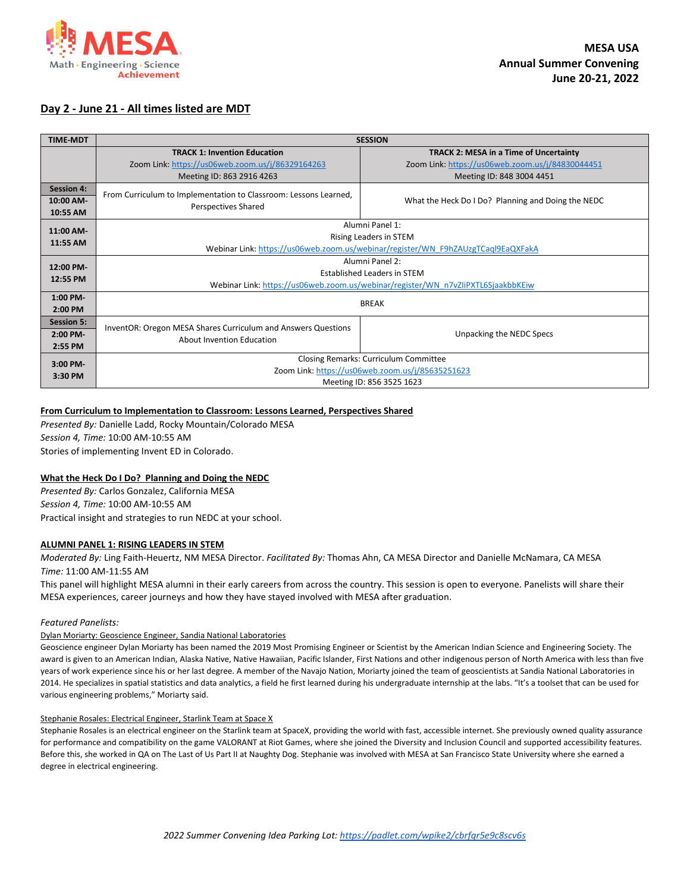

# **Day 2 - June 21 - All times listed are MDT**

| <b>TIME-MDT</b>   | <b>SESSION</b>                                                                             |                                                    |  |
|-------------------|--------------------------------------------------------------------------------------------|----------------------------------------------------|--|
|                   | <b>TRACK 1: Invention Education</b>                                                        | <b>TRACK 2: MESA in a Time of Uncertainty</b>      |  |
|                   | Zoom Link: https://us06web.zoom.us/j/86329164263                                           | Zoom Link: https://us06web.zoom.us/j/84830044451   |  |
|                   | Meeting ID: 863 2916 4263                                                                  | Meeting ID: 848 3004 4451                          |  |
| <b>Session 4:</b> | From Curriculum to Implementation to Classroom: Lessons Learned,                           |                                                    |  |
| 10:00 AM-         | Perspectives Shared                                                                        | What the Heck Do I Do? Planning and Doing the NEDC |  |
| 10:55 AM          |                                                                                            |                                                    |  |
| 11:00 AM-         | Alumni Panel 1:                                                                            |                                                    |  |
| 11:55 AM          | Rising Leaders in STEM                                                                     |                                                    |  |
|                   | Webinar Link: https://us06web.zoom.us/webinar/register/WN F9hZAUzgTCaql9EaQXFakA           |                                                    |  |
| 12:00 PM-         | Alumni Panel 2:                                                                            |                                                    |  |
| 12:55 PM          | <b>Established Leaders in STEM</b>                                                         |                                                    |  |
|                   | Webinar Link: https://us06web.zoom.us/webinar/register/WN_n7vZliPXTL6SjaakbbKEiw           |                                                    |  |
| $1:00$ PM-        | <b>BREAK</b>                                                                               |                                                    |  |
| $2:00$ PM         |                                                                                            |                                                    |  |
| <b>Session 5:</b> |                                                                                            |                                                    |  |
| $2:00$ PM-        | InventOR: Oregon MESA Shares Curriculum and Answers Questions<br>About Invention Education | Unpacking the NEDC Specs                           |  |
| 2:55 PM           |                                                                                            |                                                    |  |
| $3:00$ PM-        | Closing Remarks: Curriculum Committee                                                      |                                                    |  |
| 3:30 PM           | Zoom Link: https://us06web.zoom.us/j/85635251623                                           |                                                    |  |
|                   | Meeting ID: 856 3525 1623                                                                  |                                                    |  |

# **From Curriculum to Implementation to Classroom: Lessons Learned, Perspectives Shared**

*Presented By:* Danielle Ladd, Rocky Mountain/Colorado MESA *Session 4, Time:* 10:00 AM-10:55 AM Stories of implementing Invent ED in Colorado.

**What the Heck Do I Do? Planning and Doing the NEDC** *Presented By:* Carlos Gonzalez, California MESA *Session 4, Time:* 10:00 AM-10:55 AM Practical insight and strategies to run NEDC at your school.

## **ALUMNI PANEL 1: RISING LEADERS IN STEM**

*Moderated By:* Ling Faith-Heuertz, NM MESA Director. *Facilitated By:* Thomas Ahn, CA MESA Director and Danielle McNamara, CA MESA *Time:* 11:00 AM-11:55 AM

This panel will highlight MESA alumni in their early careers from across the country. This session is open to everyone. Panelists will share their MESA experiences, career journeys and how they have stayed involved with MESA after graduation.

## *Featured Panelists:*

## Dylan Moriarty: Geoscience Engineer, Sandia National Laboratories

Geoscience engineer Dylan Moriarty has been named the 2019 Most Promising Engineer or Scientist by the American Indian Science and Engineering Society. The award is given to an American Indian, Alaska Native, Native Hawaiian, Pacific Islander, First Nations and other indigenous person of North America with less than five years of work experience since his or her last degree. A member of the Navajo Nation, Moriarty joined the team of geoscientists at Sandia National Laboratories in 2014. He specializes in spatial statistics and data analytics, a field he first learned during his undergraduate internship at the labs. "It's a toolset that can be used for various engineering problems," Moriarty said.

#### Stephanie Rosales: Electrical Engineer, Starlink Team at Space X

Stephanie Rosales is an electrical engineer on the Starlink team at SpaceX, providing the world with fast, accessible internet. She previously owned quality assurance for performance and compatibility on the game VALORANT at Riot Games, where she joined the Diversity and Inclusion Council and supported accessibility features. Before this, she worked in QA on The Last of Us Part II at Naughty Dog. Stephanie was involved with MESA at San Francisco State University where she earned a degree in electrical engineering.